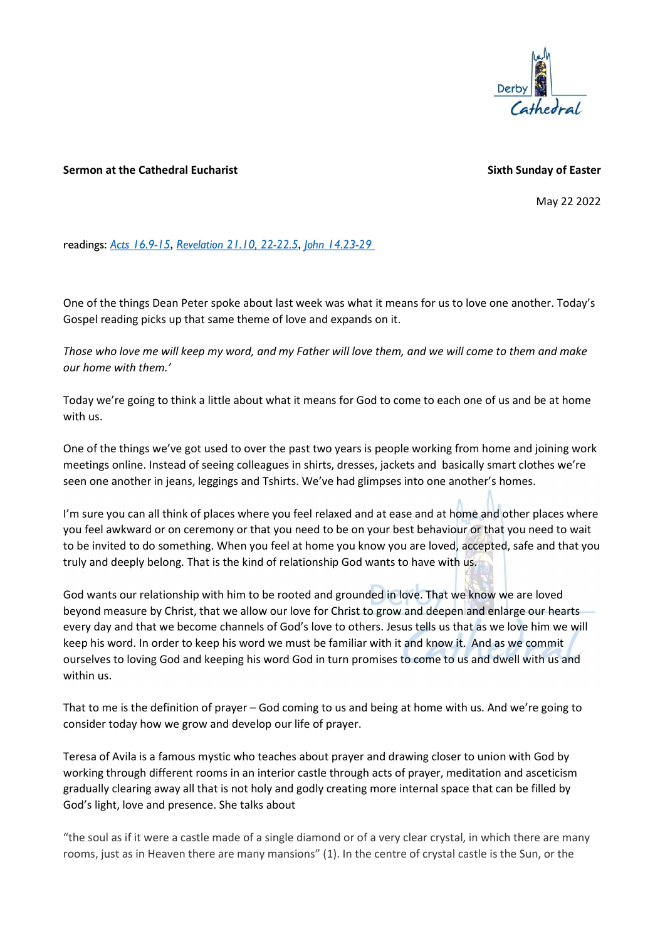

## Sermon at the Cathedral Eucharist Sixth Sunday of Easter Sixth Sunday of Easter

May 22 2022

readings: Acts 16.9-15, Revelation 21.10, 22-22.5, John 14.23-29

One of the things Dean Peter spoke about last week was what it means for us to love one another. Today's Gospel reading picks up that same theme of love and expands on it.

Those who love me will keep my word, and my Father will love them, and we will come to them and make our home with them.'

Today we're going to think a little about what it means for God to come to each one of us and be at home with us.

One of the things we've got used to over the past two years is people working from home and joining work meetings online. Instead of seeing colleagues in shirts, dresses, jackets and basically smart clothes we're seen one another in jeans, leggings and Tshirts. We've had glimpses into one another's homes.

I'm sure you can all think of places where you feel relaxed and at ease and at home and other places where you feel awkward or on ceremony or that you need to be on your best behaviour or that you need to wait to be invited to do something. When you feel at home you know you are loved, accepted, safe and that you truly and deeply belong. That is the kind of relationship God wants to have with us.

God wants our relationship with him to be rooted and grounded in love. That we know we are loved beyond measure by Christ, that we allow our love for Christ to grow and deepen and enlarge our hearts every day and that we become channels of God's love to others. Jesus tells us that as we love him we will keep his word. In order to keep his word we must be familiar with it and know it. And as we commit ourselves to loving God and keeping his word God in turn promises to come to us and dwell with us and within us.

That to me is the definition of prayer – God coming to us and being at home with us. And we're going to consider today how we grow and develop our life of prayer.

Teresa of Avila is a famous mystic who teaches about prayer and drawing closer to union with God by working through different rooms in an interior castle through acts of prayer, meditation and asceticism gradually clearing away all that is not holy and godly creating more internal space that can be filled by God's light, love and presence. She talks about

"the soul as if it were a castle made of a single diamond or of a very clear crystal, in which there are many rooms, just as in Heaven there are many mansions" (1). In the centre of crystal castle is the Sun, or the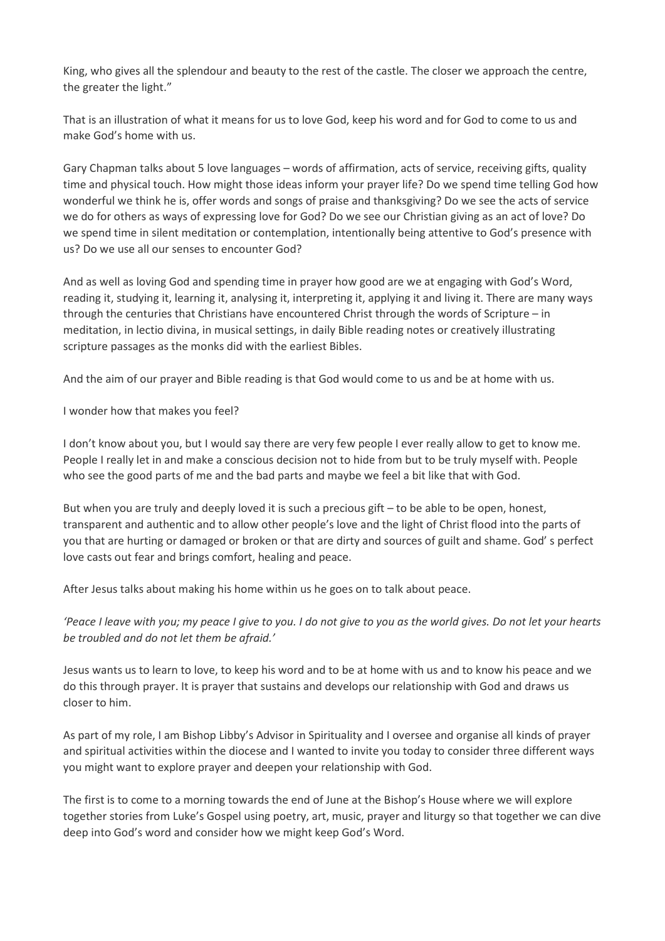King, who gives all the splendour and beauty to the rest of the castle. The closer we approach the centre, the greater the light."

That is an illustration of what it means for us to love God, keep his word and for God to come to us and make God's home with us.

Gary Chapman talks about 5 love languages – words of affirmation, acts of service, receiving gifts, quality time and physical touch. How might those ideas inform your prayer life? Do we spend time telling God how wonderful we think he is, offer words and songs of praise and thanksgiving? Do we see the acts of service we do for others as ways of expressing love for God? Do we see our Christian giving as an act of love? Do we spend time in silent meditation or contemplation, intentionally being attentive to God's presence with us? Do we use all our senses to encounter God?

And as well as loving God and spending time in prayer how good are we at engaging with God's Word, reading it, studying it, learning it, analysing it, interpreting it, applying it and living it. There are many ways through the centuries that Christians have encountered Christ through the words of Scripture – in meditation, in lectio divina, in musical settings, in daily Bible reading notes or creatively illustrating scripture passages as the monks did with the earliest Bibles.

And the aim of our prayer and Bible reading is that God would come to us and be at home with us.

I wonder how that makes you feel?

I don't know about you, but I would say there are very few people I ever really allow to get to know me. People I really let in and make a conscious decision not to hide from but to be truly myself with. People who see the good parts of me and the bad parts and maybe we feel a bit like that with God.

But when you are truly and deeply loved it is such a precious gift – to be able to be open, honest, transparent and authentic and to allow other people's love and the light of Christ flood into the parts of you that are hurting or damaged or broken or that are dirty and sources of guilt and shame. God' s perfect love casts out fear and brings comfort, healing and peace.

After Jesus talks about making his home within us he goes on to talk about peace.

'Peace I leave with you; my peace I give to you. I do not give to you as the world gives. Do not let your hearts be troubled and do not let them be afraid.'

Jesus wants us to learn to love, to keep his word and to be at home with us and to know his peace and we do this through prayer. It is prayer that sustains and develops our relationship with God and draws us closer to him.

As part of my role, I am Bishop Libby's Advisor in Spirituality and I oversee and organise all kinds of prayer and spiritual activities within the diocese and I wanted to invite you today to consider three different ways you might want to explore prayer and deepen your relationship with God.

The first is to come to a morning towards the end of June at the Bishop's House where we will explore together stories from Luke's Gospel using poetry, art, music, prayer and liturgy so that together we can dive deep into God's word and consider how we might keep God's Word.